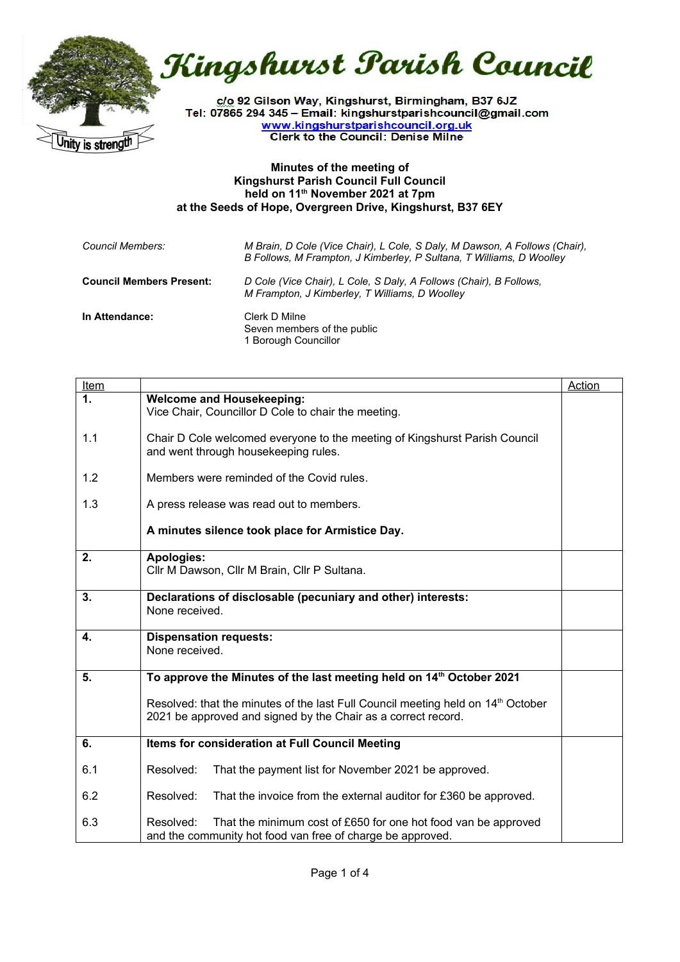

Kingshurst Parish Council

c/o 92 Gilson Way, Kingshurst, Birmingham, B37 6JZ Tel: 07865 294 345 - Email: kingshurstparishcouncil@gmail.com www.kingshurstparishcouncil.org.uk **Clerk to the Council: Denise Milne** 

## **Minutes of the meeting of Kingshurst Parish Council Full Council held on 11th November 2021 at 7pm at the Seeds of Hope, Overgreen Drive, Kingshurst, B37 6EY**

| Council Members:                | M Brain, D Cole (Vice Chair), L Cole, S Daly, M Dawson, A Follows (Chair),<br>B Follows, M Frampton, J Kimberley, P Sultana, T Williams, D Woolley |
|---------------------------------|----------------------------------------------------------------------------------------------------------------------------------------------------|
| <b>Council Members Present:</b> | D Cole (Vice Chair), L Cole, S Daly, A Follows (Chair), B Follows,<br>M Frampton, J Kimberley, T Williams, D Woolley                               |
| In Attendance:                  | Clerk D Milne<br>Seven members of the public<br>1 Borough Councillor                                                                               |

| <b>Item</b>   |                                                                                                                                                               | Action |
|---------------|---------------------------------------------------------------------------------------------------------------------------------------------------------------|--------|
| $\mathbf 1$ . | <b>Welcome and Housekeeping:</b><br>Vice Chair, Councillor D Cole to chair the meeting.                                                                       |        |
| 1.1           | Chair D Cole welcomed everyone to the meeting of Kingshurst Parish Council<br>and went through housekeeping rules.                                            |        |
| 1.2           | Members were reminded of the Covid rules.                                                                                                                     |        |
| 1.3           | A press release was read out to members.                                                                                                                      |        |
|               | A minutes silence took place for Armistice Day.                                                                                                               |        |
| 2.            | Apologies:<br>Cllr M Dawson, Cllr M Brain, Cllr P Sultana.                                                                                                    |        |
| 3.            | Declarations of disclosable (pecuniary and other) interests:<br>None received.                                                                                |        |
| 4.            | <b>Dispensation requests:</b><br>None received.                                                                                                               |        |
| 5.            | To approve the Minutes of the last meeting held on 14 <sup>th</sup> October 2021                                                                              |        |
|               | Resolved: that the minutes of the last Full Council meeting held on 14 <sup>th</sup> October<br>2021 be approved and signed by the Chair as a correct record. |        |
| 6.            | Items for consideration at Full Council Meeting                                                                                                               |        |
| 6.1           | Resolved:<br>That the payment list for November 2021 be approved.                                                                                             |        |
| 6.2           | Resolved:<br>That the invoice from the external auditor for £360 be approved.                                                                                 |        |
| 6.3           | Resolved:<br>That the minimum cost of £650 for one hot food van be approved<br>and the community hot food van free of charge be approved.                     |        |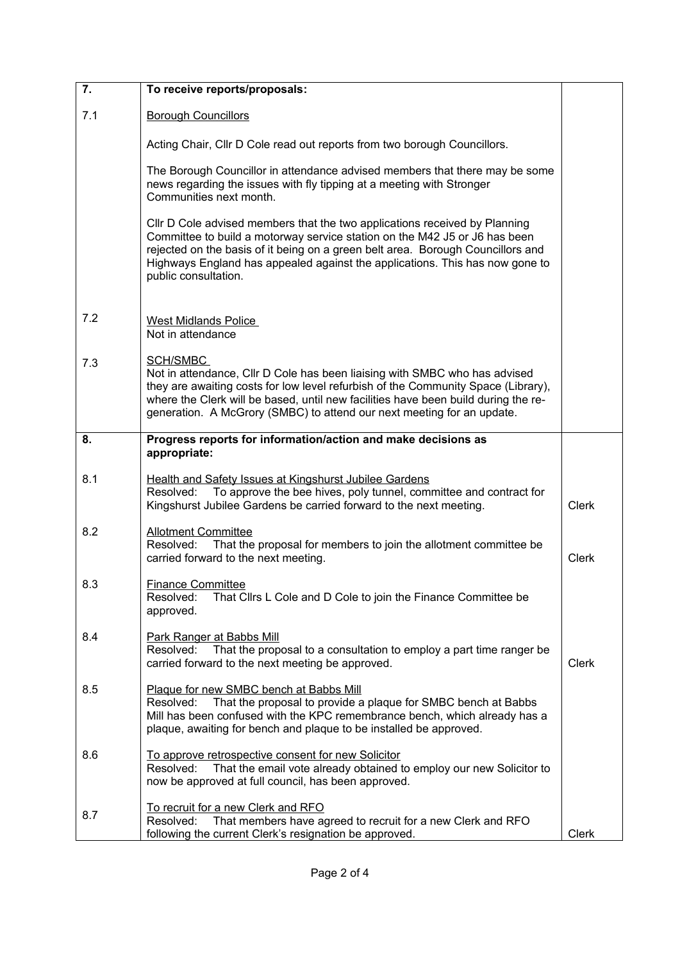| $\overline{7}$ . | To receive reports/proposals:                                                                                                                                                                                                                                                                                                                       |              |
|------------------|-----------------------------------------------------------------------------------------------------------------------------------------------------------------------------------------------------------------------------------------------------------------------------------------------------------------------------------------------------|--------------|
| 7.1              | <b>Borough Councillors</b>                                                                                                                                                                                                                                                                                                                          |              |
|                  | Acting Chair, Cllr D Cole read out reports from two borough Councillors.                                                                                                                                                                                                                                                                            |              |
|                  | The Borough Councillor in attendance advised members that there may be some<br>news regarding the issues with fly tipping at a meeting with Stronger<br>Communities next month.                                                                                                                                                                     |              |
|                  | CIIr D Cole advised members that the two applications received by Planning<br>Committee to build a motorway service station on the M42 J5 or J6 has been<br>rejected on the basis of it being on a green belt area. Borough Councillors and<br>Highways England has appealed against the applications. This has now gone to<br>public consultation. |              |
| 7.2              | West Midlands Police<br>Not in attendance                                                                                                                                                                                                                                                                                                           |              |
| 7.3              | SCH/SMBC<br>Not in attendance, Cllr D Cole has been liaising with SMBC who has advised<br>they are awaiting costs for low level refurbish of the Community Space (Library),<br>where the Clerk will be based, until new facilities have been build during the re-<br>generation. A McGrory (SMBC) to attend our next meeting for an update.         |              |
| 8.               | Progress reports for information/action and make decisions as<br>appropriate:                                                                                                                                                                                                                                                                       |              |
| 8.1              | Health and Safety Issues at Kingshurst Jubilee Gardens<br>To approve the bee hives, poly tunnel, committee and contract for<br>Resolved:<br>Kingshurst Jubilee Gardens be carried forward to the next meeting.                                                                                                                                      | <b>Clerk</b> |
| 8.2              | <b>Allotment Committee</b><br>Resolved:<br>That the proposal for members to join the allotment committee be<br>carried forward to the next meeting.                                                                                                                                                                                                 | <b>Clerk</b> |
| 8.3              | <b>Finance Committee</b><br>Resolved:<br>That Cllrs L Cole and D Cole to join the Finance Committee be<br>approved.                                                                                                                                                                                                                                 |              |
| 8.4              | <b>Park Ranger at Babbs Mill</b><br>Resolved:<br>That the proposal to a consultation to employ a part time ranger be<br>carried forward to the next meeting be approved.                                                                                                                                                                            | <b>Clerk</b> |
| 8.5              | Plaque for new SMBC bench at Babbs Mill<br>That the proposal to provide a plaque for SMBC bench at Babbs<br>Resolved:<br>Mill has been confused with the KPC remembrance bench, which already has a<br>plaque, awaiting for bench and plaque to be installed be approved.                                                                           |              |
| 8.6              | To approve retrospective consent for new Solicitor<br>That the email vote already obtained to employ our new Solicitor to<br>Resolved:<br>now be approved at full council, has been approved.                                                                                                                                                       |              |
| 8.7              | To recruit for a new Clerk and RFO<br>That members have agreed to recruit for a new Clerk and RFO<br>Resolved:<br>following the current Clerk's resignation be approved.                                                                                                                                                                            | Clerk        |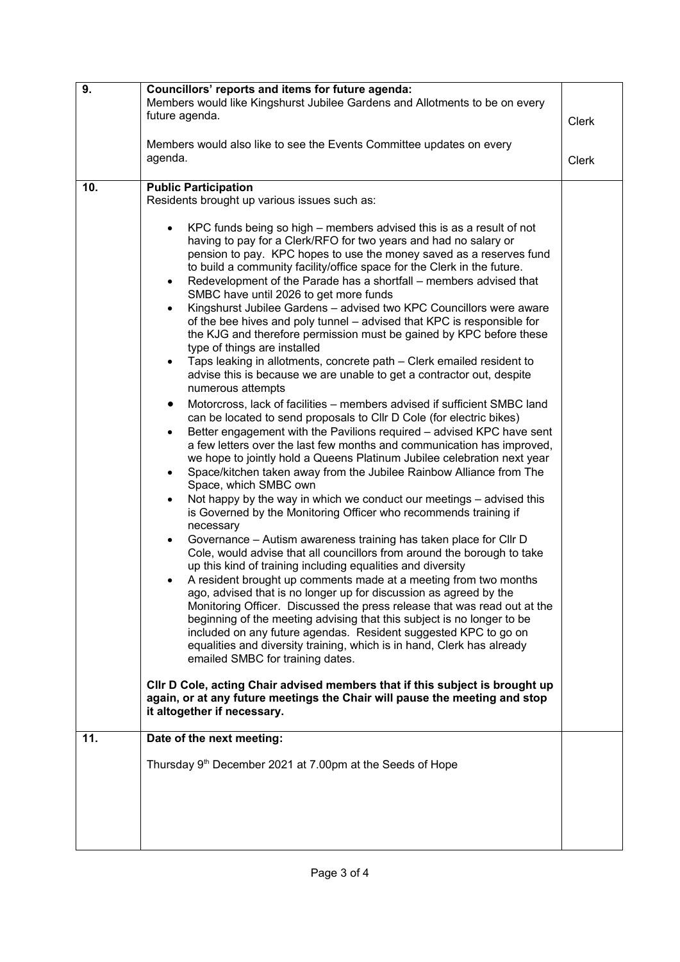| 9.         | Councillors' reports and items for future agenda:<br>Members would like Kingshurst Jubilee Gardens and Allotments to be on every<br>future agenda.<br>Clerk<br>Members would also like to see the Events Committee updates on every<br>agenda.                                                                                                                                                                                                                                                                                                                                                                                                                                                                                                                                                                                                                                                                                                                                                                                                                                                                                                                                                                                                                                                                                                                                                                                                                                                                                                                                                                                                                                                                                                                                                                                                                                                                                                                                                                                                                                                                                                                                                                                                                                                                                                                                                                                                                                                              |       |
|------------|-------------------------------------------------------------------------------------------------------------------------------------------------------------------------------------------------------------------------------------------------------------------------------------------------------------------------------------------------------------------------------------------------------------------------------------------------------------------------------------------------------------------------------------------------------------------------------------------------------------------------------------------------------------------------------------------------------------------------------------------------------------------------------------------------------------------------------------------------------------------------------------------------------------------------------------------------------------------------------------------------------------------------------------------------------------------------------------------------------------------------------------------------------------------------------------------------------------------------------------------------------------------------------------------------------------------------------------------------------------------------------------------------------------------------------------------------------------------------------------------------------------------------------------------------------------------------------------------------------------------------------------------------------------------------------------------------------------------------------------------------------------------------------------------------------------------------------------------------------------------------------------------------------------------------------------------------------------------------------------------------------------------------------------------------------------------------------------------------------------------------------------------------------------------------------------------------------------------------------------------------------------------------------------------------------------------------------------------------------------------------------------------------------------------------------------------------------------------------------------------------------------|-------|
|            |                                                                                                                                                                                                                                                                                                                                                                                                                                                                                                                                                                                                                                                                                                                                                                                                                                                                                                                                                                                                                                                                                                                                                                                                                                                                                                                                                                                                                                                                                                                                                                                                                                                                                                                                                                                                                                                                                                                                                                                                                                                                                                                                                                                                                                                                                                                                                                                                                                                                                                             | Clerk |
| 10.<br>11. | <b>Public Participation</b><br>Residents brought up various issues such as:<br>KPC funds being so high – members advised this is as a result of not<br>having to pay for a Clerk/RFO for two years and had no salary or<br>pension to pay. KPC hopes to use the money saved as a reserves fund<br>to build a community facility/office space for the Clerk in the future.<br>Redevelopment of the Parade has a shortfall – members advised that<br>٠<br>SMBC have until 2026 to get more funds<br>Kingshurst Jubilee Gardens - advised two KPC Councillors were aware<br>٠<br>of the bee hives and poly tunnel - advised that KPC is responsible for<br>the KJG and therefore permission must be gained by KPC before these<br>type of things are installed<br>Taps leaking in allotments, concrete path – Clerk emailed resident to<br>advise this is because we are unable to get a contractor out, despite<br>numerous attempts<br>Motorcross, lack of facilities – members advised if sufficient SMBC land<br>٠<br>can be located to send proposals to Cllr D Cole (for electric bikes)<br>Better engagement with the Pavilions required - advised KPC have sent<br>a few letters over the last few months and communication has improved,<br>we hope to jointly hold a Queens Platinum Jubilee celebration next year<br>Space/kitchen taken away from the Jubilee Rainbow Alliance from The<br>Space, which SMBC own<br>Not happy by the way in which we conduct our meetings – advised this<br>is Governed by the Monitoring Officer who recommends training if<br>necessary<br>Governance – Autism awareness training has taken place for Cllr D<br>Cole, would advise that all councillors from around the borough to take<br>up this kind of training including equalities and diversity<br>A resident brought up comments made at a meeting from two months<br>ago, advised that is no longer up for discussion as agreed by the<br>Monitoring Officer. Discussed the press release that was read out at the<br>beginning of the meeting advising that this subject is no longer to be<br>included on any future agendas. Resident suggested KPC to go on<br>equalities and diversity training, which is in hand, Clerk has already<br>emailed SMBC for training dates.<br>CIIr D Cole, acting Chair advised members that if this subject is brought up<br>again, or at any future meetings the Chair will pause the meeting and stop<br>it altogether if necessary.<br>Date of the next meeting: |       |
|            | Thursday 9 <sup>th</sup> December 2021 at 7.00pm at the Seeds of Hope                                                                                                                                                                                                                                                                                                                                                                                                                                                                                                                                                                                                                                                                                                                                                                                                                                                                                                                                                                                                                                                                                                                                                                                                                                                                                                                                                                                                                                                                                                                                                                                                                                                                                                                                                                                                                                                                                                                                                                                                                                                                                                                                                                                                                                                                                                                                                                                                                                       |       |